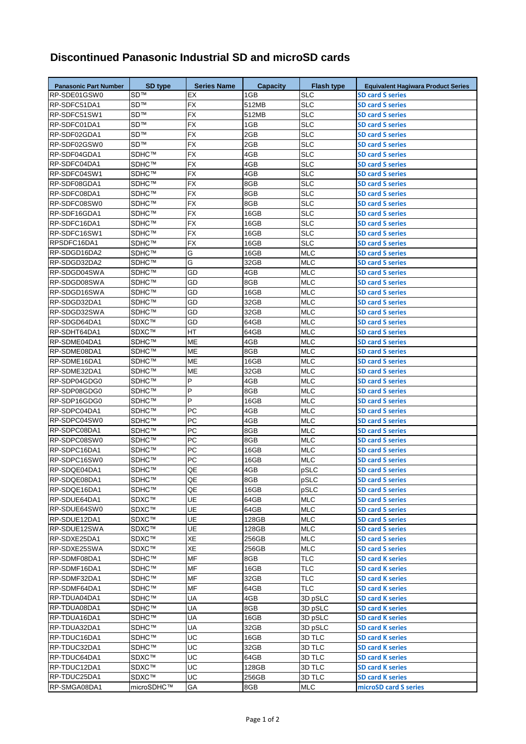## **Discontinued Panasonic Industrial SD and microSD cards**

| SD™<br>EX<br>1GB<br><b>SLC</b><br>RP-SDE01GSW0<br><b>SD card S series</b><br><b>FX</b><br><b>SLC</b><br>SD™<br>512MB<br><b>SD card S series</b><br>SD™<br><b>FX</b><br><b>SLC</b><br>RP-SDFC51SW1<br>512MB<br><b>SD card S series</b><br>SD™<br><b>FX</b><br><b>SLC</b><br>1GB<br>RP-SDFC01DA1<br><b>SD card S series</b><br><b>SD™</b><br><b>SLC</b><br><b>FX</b><br>2GB<br><b>SD card S series</b><br>SD™<br><b>SLC</b><br><b>FX</b><br>2GB<br>RP-SDF02GSW0<br><b>SD card S series</b><br><b>SLC</b><br>SDHC™<br><b>FX</b><br>4GB<br><b>SD card S series</b><br><b>SLC</b><br><b>FX</b><br>4GB<br>SDHC™<br><b>SD card S series</b><br><b>SLC</b><br><b>FX</b><br>SDHC™<br>4GB<br><b>SD card S series</b><br><b>SLC</b><br><b>FX</b><br>8GB<br>SDHC™<br><b>SD card S series</b><br><b>FX</b><br><b>SLC</b><br>SDHC™<br>8GB<br>RP-SDFC08DA1<br><b>SD card S series</b><br><b>SLC</b><br>SDHC™<br><b>FX</b><br>8GB<br><b>SD card S series</b><br><b>SLC</b><br>SDHC™<br><b>FX</b><br>16GB<br><b>SD card S series</b><br><b>SLC</b><br><b>FX</b><br>SDHC™<br>16GB<br><b>SD card S series</b><br><b>SLC</b><br>SDHC™<br><b>FX</b><br>16GB<br><b>SD card S series</b><br><b>FX</b><br><b>SLC</b><br>RPSDFC16DA1<br>SDHC™<br>16GB<br><b>SD card S series</b><br>G<br><b>MLC</b><br>SDHC™<br>16GB<br><b>SD card S series</b><br>G<br><b>MLC</b><br>SDHC™<br>32GB<br><b>SD card S series</b><br>GD<br>4GB<br><b>MLC</b><br>SDHC™<br><b>SD card S series</b><br><b>MLC</b><br>SDHC™<br>GD<br>8GB<br><b>SD card S series</b><br>GD<br><b>MLC</b><br>SDHC™<br>RP-SDGD16SWA<br>16GB<br><b>SD card S series</b><br>GD<br><b>MLC</b><br>SDHC™<br>32GB<br>RP-SDGD32DA1<br><b>SD card S series</b><br><b>MLC</b><br>SDHC™<br>GD<br>32GB<br><b>SD card S series</b><br>SDXC™<br>GD<br><b>MLC</b><br>64GB<br><b>SD card S series</b><br><b>HT</b><br>SDXC™<br><b>MLC</b><br>64GB<br><b>SD card S series</b><br><b>ME</b><br><b>MLC</b><br>SDHC™<br>4GB<br><b>SD card S series</b><br><b>ME</b><br>SDHC™<br>8GB<br><b>MLC</b><br><b>SD card S series</b><br>SDHC™<br><b>ME</b><br><b>MLC</b><br>16GB<br><b>SD card S series</b><br>SDHC™<br><b>ME</b><br><b>MLC</b><br><b>SD card S series</b><br>32GB<br>P<br>4GB<br><b>MLC</b><br>SDHC™<br><b>SD card S series</b><br>P<br>SDHC™<br><b>MLC</b><br>8GB<br><b>SD card S series</b><br>P<br>SDHC™<br><b>MLC</b><br>16GB<br><b>SD card S series</b><br>PC<br><b>MLC</b><br>SDHC™<br>4GB<br><b>SD card S series</b><br>PC<br><b>MLC</b><br>SDHC™<br>4GB<br><b>SD card S series</b><br>PC<br>8GB<br><b>MLC</b><br>SDHC™<br><b>SD card S series</b><br>PC<br><b>MLC</b><br>SDHC™<br>8GB<br><b>SD card S series</b><br>PC<br><b>MLC</b><br>SDHC™<br>16GB<br><b>SD card S series</b><br>PC<br>SDHC™<br><b>MLC</b><br>16GB<br><b>SD card S series</b><br>SDHC™<br>QE<br>4GB<br>pSLC<br><b>SD card S series</b><br>QE<br>8GB<br>SDHC™<br>pSLC<br><b>SD card S series</b><br>QE<br>SDHC™<br>16GB<br>pSLC<br><b>SD card S series</b><br>SDXC™<br>UE<br><b>MLC</b><br>64GB<br><b>SD card S series</b><br>SDXC™<br>UE<br><b>MLC</b><br>64GB<br><b>SD card S series</b><br>SDXC™<br>UE<br><b>MLC</b><br>128GB<br><b>SD card S series</b><br>UE<br>SDXC™<br><b>MLC</b><br>128GB<br><b>SD card S series</b><br>XE<br><b>MLC</b><br>SDXC™<br>256GB<br><b>SD card S series</b><br>XE<br>SDXC™<br><b>MLC</b><br>RP-SDXE25SWA<br>256GB<br><b>SD card S series</b><br>SDHC™<br><b>MF</b><br><b>TLC</b><br>8GB<br><b>SD card K series</b><br><b>TLC</b><br><b>MF</b><br>SDHC™<br>16GB<br><b>SD card K series</b><br><b>TLC</b><br>SDHC™<br>MF<br>32GB<br><b>SD card K series</b><br>SDHC™<br><b>MF</b><br><b>TLC</b><br>64GB<br><b>SD card K series</b><br>SDHC™<br>UA<br>4GB<br>3D pSLC<br>RP-TDUA04DA1<br><b>SD card K series</b><br>SDHC™<br>UA<br>8GB<br>3D pSLC<br><b>SD card K series</b><br>SDHC™<br>UA<br>16GB<br>3D pSLC<br><b>SD card K series</b><br>SDHC™<br>UA<br>32GB<br>3D pSLC<br><b>SD card K series</b><br>SDHC™<br>UC<br>16GB<br>3D TLC<br><b>SD card K series</b><br>UC<br>SDHC™<br>32GB<br>3D TLC<br><b>SD card K series</b><br>SDXC™<br>UC<br>64GB<br>3D TLC<br><b>SD card K series</b><br><b>UC</b><br>SDXC™<br>128GB<br>3D TLC<br><b>SD card K series</b><br>SDXC™<br>UC<br>3D TLC<br>256GB<br><b>SD card K series</b><br>microSDHC™<br>GA<br><b>MLC</b><br>8GB<br>microSD card S series | <b>Panasonic Part Number</b> | SD type | <b>Series Name</b> | <b>Capacity</b> | <b>Flash type</b> | <b>Equivalent Hagiwara Product Series</b> |
|--------------------------------------------------------------------------------------------------------------------------------------------------------------------------------------------------------------------------------------------------------------------------------------------------------------------------------------------------------------------------------------------------------------------------------------------------------------------------------------------------------------------------------------------------------------------------------------------------------------------------------------------------------------------------------------------------------------------------------------------------------------------------------------------------------------------------------------------------------------------------------------------------------------------------------------------------------------------------------------------------------------------------------------------------------------------------------------------------------------------------------------------------------------------------------------------------------------------------------------------------------------------------------------------------------------------------------------------------------------------------------------------------------------------------------------------------------------------------------------------------------------------------------------------------------------------------------------------------------------------------------------------------------------------------------------------------------------------------------------------------------------------------------------------------------------------------------------------------------------------------------------------------------------------------------------------------------------------------------------------------------------------------------------------------------------------------------------------------------------------------------------------------------------------------------------------------------------------------------------------------------------------------------------------------------------------------------------------------------------------------------------------------------------------------------------------------------------------------------------------------------------------------------------------------------------------------------------------------------------------------------------------------------------------------------------------------------------------------------------------------------------------------------------------------------------------------------------------------------------------------------------------------------------------------------------------------------------------------------------------------------------------------------------------------------------------------------------------------------------------------------------------------------------------------------------------------------------------------------------------------------------------------------------------------------------------------------------------------------------------------------------------------------------------------------------------------------------------------------------------------------------------------------------------------------------------------------------------------------------------------------------------------------------------------------------------------------------------------------------------------------------------------------------------------------------------------------------------------------------------------------------------------------------------------------------------------------------------------------------------------------------------------------------------------------------------------------------------------------------------------------------------------------------------------------------------------------------------------------------------------------------------------------------------------------------------------|------------------------------|---------|--------------------|-----------------|-------------------|-------------------------------------------|
|                                                                                                                                                                                                                                                                                                                                                                                                                                                                                                                                                                                                                                                                                                                                                                                                                                                                                                                                                                                                                                                                                                                                                                                                                                                                                                                                                                                                                                                                                                                                                                                                                                                                                                                                                                                                                                                                                                                                                                                                                                                                                                                                                                                                                                                                                                                                                                                                                                                                                                                                                                                                                                                                                                                                                                                                                                                                                                                                                                                                                                                                                                                                                                                                                                                                                                                                                                                                                                                                                                                                                                                                                                                                                                                                                                                                                                                                                                                                                                                                                                                                                                                                                                                                                                                                                                                          |                              |         |                    |                 |                   |                                           |
|                                                                                                                                                                                                                                                                                                                                                                                                                                                                                                                                                                                                                                                                                                                                                                                                                                                                                                                                                                                                                                                                                                                                                                                                                                                                                                                                                                                                                                                                                                                                                                                                                                                                                                                                                                                                                                                                                                                                                                                                                                                                                                                                                                                                                                                                                                                                                                                                                                                                                                                                                                                                                                                                                                                                                                                                                                                                                                                                                                                                                                                                                                                                                                                                                                                                                                                                                                                                                                                                                                                                                                                                                                                                                                                                                                                                                                                                                                                                                                                                                                                                                                                                                                                                                                                                                                                          | RP-SDFC51DA1                 |         |                    |                 |                   |                                           |
|                                                                                                                                                                                                                                                                                                                                                                                                                                                                                                                                                                                                                                                                                                                                                                                                                                                                                                                                                                                                                                                                                                                                                                                                                                                                                                                                                                                                                                                                                                                                                                                                                                                                                                                                                                                                                                                                                                                                                                                                                                                                                                                                                                                                                                                                                                                                                                                                                                                                                                                                                                                                                                                                                                                                                                                                                                                                                                                                                                                                                                                                                                                                                                                                                                                                                                                                                                                                                                                                                                                                                                                                                                                                                                                                                                                                                                                                                                                                                                                                                                                                                                                                                                                                                                                                                                                          |                              |         |                    |                 |                   |                                           |
|                                                                                                                                                                                                                                                                                                                                                                                                                                                                                                                                                                                                                                                                                                                                                                                                                                                                                                                                                                                                                                                                                                                                                                                                                                                                                                                                                                                                                                                                                                                                                                                                                                                                                                                                                                                                                                                                                                                                                                                                                                                                                                                                                                                                                                                                                                                                                                                                                                                                                                                                                                                                                                                                                                                                                                                                                                                                                                                                                                                                                                                                                                                                                                                                                                                                                                                                                                                                                                                                                                                                                                                                                                                                                                                                                                                                                                                                                                                                                                                                                                                                                                                                                                                                                                                                                                                          |                              |         |                    |                 |                   |                                           |
|                                                                                                                                                                                                                                                                                                                                                                                                                                                                                                                                                                                                                                                                                                                                                                                                                                                                                                                                                                                                                                                                                                                                                                                                                                                                                                                                                                                                                                                                                                                                                                                                                                                                                                                                                                                                                                                                                                                                                                                                                                                                                                                                                                                                                                                                                                                                                                                                                                                                                                                                                                                                                                                                                                                                                                                                                                                                                                                                                                                                                                                                                                                                                                                                                                                                                                                                                                                                                                                                                                                                                                                                                                                                                                                                                                                                                                                                                                                                                                                                                                                                                                                                                                                                                                                                                                                          | RP-SDF02GDA1                 |         |                    |                 |                   |                                           |
|                                                                                                                                                                                                                                                                                                                                                                                                                                                                                                                                                                                                                                                                                                                                                                                                                                                                                                                                                                                                                                                                                                                                                                                                                                                                                                                                                                                                                                                                                                                                                                                                                                                                                                                                                                                                                                                                                                                                                                                                                                                                                                                                                                                                                                                                                                                                                                                                                                                                                                                                                                                                                                                                                                                                                                                                                                                                                                                                                                                                                                                                                                                                                                                                                                                                                                                                                                                                                                                                                                                                                                                                                                                                                                                                                                                                                                                                                                                                                                                                                                                                                                                                                                                                                                                                                                                          |                              |         |                    |                 |                   |                                           |
|                                                                                                                                                                                                                                                                                                                                                                                                                                                                                                                                                                                                                                                                                                                                                                                                                                                                                                                                                                                                                                                                                                                                                                                                                                                                                                                                                                                                                                                                                                                                                                                                                                                                                                                                                                                                                                                                                                                                                                                                                                                                                                                                                                                                                                                                                                                                                                                                                                                                                                                                                                                                                                                                                                                                                                                                                                                                                                                                                                                                                                                                                                                                                                                                                                                                                                                                                                                                                                                                                                                                                                                                                                                                                                                                                                                                                                                                                                                                                                                                                                                                                                                                                                                                                                                                                                                          | RP-SDF04GDA1                 |         |                    |                 |                   |                                           |
|                                                                                                                                                                                                                                                                                                                                                                                                                                                                                                                                                                                                                                                                                                                                                                                                                                                                                                                                                                                                                                                                                                                                                                                                                                                                                                                                                                                                                                                                                                                                                                                                                                                                                                                                                                                                                                                                                                                                                                                                                                                                                                                                                                                                                                                                                                                                                                                                                                                                                                                                                                                                                                                                                                                                                                                                                                                                                                                                                                                                                                                                                                                                                                                                                                                                                                                                                                                                                                                                                                                                                                                                                                                                                                                                                                                                                                                                                                                                                                                                                                                                                                                                                                                                                                                                                                                          | RP-SDFC04DA1                 |         |                    |                 |                   |                                           |
|                                                                                                                                                                                                                                                                                                                                                                                                                                                                                                                                                                                                                                                                                                                                                                                                                                                                                                                                                                                                                                                                                                                                                                                                                                                                                                                                                                                                                                                                                                                                                                                                                                                                                                                                                                                                                                                                                                                                                                                                                                                                                                                                                                                                                                                                                                                                                                                                                                                                                                                                                                                                                                                                                                                                                                                                                                                                                                                                                                                                                                                                                                                                                                                                                                                                                                                                                                                                                                                                                                                                                                                                                                                                                                                                                                                                                                                                                                                                                                                                                                                                                                                                                                                                                                                                                                                          | RP-SDFC04SW1                 |         |                    |                 |                   |                                           |
|                                                                                                                                                                                                                                                                                                                                                                                                                                                                                                                                                                                                                                                                                                                                                                                                                                                                                                                                                                                                                                                                                                                                                                                                                                                                                                                                                                                                                                                                                                                                                                                                                                                                                                                                                                                                                                                                                                                                                                                                                                                                                                                                                                                                                                                                                                                                                                                                                                                                                                                                                                                                                                                                                                                                                                                                                                                                                                                                                                                                                                                                                                                                                                                                                                                                                                                                                                                                                                                                                                                                                                                                                                                                                                                                                                                                                                                                                                                                                                                                                                                                                                                                                                                                                                                                                                                          | RP-SDF08GDA1                 |         |                    |                 |                   |                                           |
|                                                                                                                                                                                                                                                                                                                                                                                                                                                                                                                                                                                                                                                                                                                                                                                                                                                                                                                                                                                                                                                                                                                                                                                                                                                                                                                                                                                                                                                                                                                                                                                                                                                                                                                                                                                                                                                                                                                                                                                                                                                                                                                                                                                                                                                                                                                                                                                                                                                                                                                                                                                                                                                                                                                                                                                                                                                                                                                                                                                                                                                                                                                                                                                                                                                                                                                                                                                                                                                                                                                                                                                                                                                                                                                                                                                                                                                                                                                                                                                                                                                                                                                                                                                                                                                                                                                          |                              |         |                    |                 |                   |                                           |
|                                                                                                                                                                                                                                                                                                                                                                                                                                                                                                                                                                                                                                                                                                                                                                                                                                                                                                                                                                                                                                                                                                                                                                                                                                                                                                                                                                                                                                                                                                                                                                                                                                                                                                                                                                                                                                                                                                                                                                                                                                                                                                                                                                                                                                                                                                                                                                                                                                                                                                                                                                                                                                                                                                                                                                                                                                                                                                                                                                                                                                                                                                                                                                                                                                                                                                                                                                                                                                                                                                                                                                                                                                                                                                                                                                                                                                                                                                                                                                                                                                                                                                                                                                                                                                                                                                                          | RP-SDFC08SW0                 |         |                    |                 |                   |                                           |
|                                                                                                                                                                                                                                                                                                                                                                                                                                                                                                                                                                                                                                                                                                                                                                                                                                                                                                                                                                                                                                                                                                                                                                                                                                                                                                                                                                                                                                                                                                                                                                                                                                                                                                                                                                                                                                                                                                                                                                                                                                                                                                                                                                                                                                                                                                                                                                                                                                                                                                                                                                                                                                                                                                                                                                                                                                                                                                                                                                                                                                                                                                                                                                                                                                                                                                                                                                                                                                                                                                                                                                                                                                                                                                                                                                                                                                                                                                                                                                                                                                                                                                                                                                                                                                                                                                                          | RP-SDF16GDA1                 |         |                    |                 |                   |                                           |
|                                                                                                                                                                                                                                                                                                                                                                                                                                                                                                                                                                                                                                                                                                                                                                                                                                                                                                                                                                                                                                                                                                                                                                                                                                                                                                                                                                                                                                                                                                                                                                                                                                                                                                                                                                                                                                                                                                                                                                                                                                                                                                                                                                                                                                                                                                                                                                                                                                                                                                                                                                                                                                                                                                                                                                                                                                                                                                                                                                                                                                                                                                                                                                                                                                                                                                                                                                                                                                                                                                                                                                                                                                                                                                                                                                                                                                                                                                                                                                                                                                                                                                                                                                                                                                                                                                                          | RP-SDFC16DA1                 |         |                    |                 |                   |                                           |
|                                                                                                                                                                                                                                                                                                                                                                                                                                                                                                                                                                                                                                                                                                                                                                                                                                                                                                                                                                                                                                                                                                                                                                                                                                                                                                                                                                                                                                                                                                                                                                                                                                                                                                                                                                                                                                                                                                                                                                                                                                                                                                                                                                                                                                                                                                                                                                                                                                                                                                                                                                                                                                                                                                                                                                                                                                                                                                                                                                                                                                                                                                                                                                                                                                                                                                                                                                                                                                                                                                                                                                                                                                                                                                                                                                                                                                                                                                                                                                                                                                                                                                                                                                                                                                                                                                                          | RP-SDFC16SW1                 |         |                    |                 |                   |                                           |
|                                                                                                                                                                                                                                                                                                                                                                                                                                                                                                                                                                                                                                                                                                                                                                                                                                                                                                                                                                                                                                                                                                                                                                                                                                                                                                                                                                                                                                                                                                                                                                                                                                                                                                                                                                                                                                                                                                                                                                                                                                                                                                                                                                                                                                                                                                                                                                                                                                                                                                                                                                                                                                                                                                                                                                                                                                                                                                                                                                                                                                                                                                                                                                                                                                                                                                                                                                                                                                                                                                                                                                                                                                                                                                                                                                                                                                                                                                                                                                                                                                                                                                                                                                                                                                                                                                                          |                              |         |                    |                 |                   |                                           |
|                                                                                                                                                                                                                                                                                                                                                                                                                                                                                                                                                                                                                                                                                                                                                                                                                                                                                                                                                                                                                                                                                                                                                                                                                                                                                                                                                                                                                                                                                                                                                                                                                                                                                                                                                                                                                                                                                                                                                                                                                                                                                                                                                                                                                                                                                                                                                                                                                                                                                                                                                                                                                                                                                                                                                                                                                                                                                                                                                                                                                                                                                                                                                                                                                                                                                                                                                                                                                                                                                                                                                                                                                                                                                                                                                                                                                                                                                                                                                                                                                                                                                                                                                                                                                                                                                                                          | RP-SDGD16DA2                 |         |                    |                 |                   |                                           |
|                                                                                                                                                                                                                                                                                                                                                                                                                                                                                                                                                                                                                                                                                                                                                                                                                                                                                                                                                                                                                                                                                                                                                                                                                                                                                                                                                                                                                                                                                                                                                                                                                                                                                                                                                                                                                                                                                                                                                                                                                                                                                                                                                                                                                                                                                                                                                                                                                                                                                                                                                                                                                                                                                                                                                                                                                                                                                                                                                                                                                                                                                                                                                                                                                                                                                                                                                                                                                                                                                                                                                                                                                                                                                                                                                                                                                                                                                                                                                                                                                                                                                                                                                                                                                                                                                                                          | RP-SDGD32DA2                 |         |                    |                 |                   |                                           |
|                                                                                                                                                                                                                                                                                                                                                                                                                                                                                                                                                                                                                                                                                                                                                                                                                                                                                                                                                                                                                                                                                                                                                                                                                                                                                                                                                                                                                                                                                                                                                                                                                                                                                                                                                                                                                                                                                                                                                                                                                                                                                                                                                                                                                                                                                                                                                                                                                                                                                                                                                                                                                                                                                                                                                                                                                                                                                                                                                                                                                                                                                                                                                                                                                                                                                                                                                                                                                                                                                                                                                                                                                                                                                                                                                                                                                                                                                                                                                                                                                                                                                                                                                                                                                                                                                                                          | RP-SDGD04SWA                 |         |                    |                 |                   |                                           |
|                                                                                                                                                                                                                                                                                                                                                                                                                                                                                                                                                                                                                                                                                                                                                                                                                                                                                                                                                                                                                                                                                                                                                                                                                                                                                                                                                                                                                                                                                                                                                                                                                                                                                                                                                                                                                                                                                                                                                                                                                                                                                                                                                                                                                                                                                                                                                                                                                                                                                                                                                                                                                                                                                                                                                                                                                                                                                                                                                                                                                                                                                                                                                                                                                                                                                                                                                                                                                                                                                                                                                                                                                                                                                                                                                                                                                                                                                                                                                                                                                                                                                                                                                                                                                                                                                                                          | RP-SDGD08SWA                 |         |                    |                 |                   |                                           |
|                                                                                                                                                                                                                                                                                                                                                                                                                                                                                                                                                                                                                                                                                                                                                                                                                                                                                                                                                                                                                                                                                                                                                                                                                                                                                                                                                                                                                                                                                                                                                                                                                                                                                                                                                                                                                                                                                                                                                                                                                                                                                                                                                                                                                                                                                                                                                                                                                                                                                                                                                                                                                                                                                                                                                                                                                                                                                                                                                                                                                                                                                                                                                                                                                                                                                                                                                                                                                                                                                                                                                                                                                                                                                                                                                                                                                                                                                                                                                                                                                                                                                                                                                                                                                                                                                                                          |                              |         |                    |                 |                   |                                           |
|                                                                                                                                                                                                                                                                                                                                                                                                                                                                                                                                                                                                                                                                                                                                                                                                                                                                                                                                                                                                                                                                                                                                                                                                                                                                                                                                                                                                                                                                                                                                                                                                                                                                                                                                                                                                                                                                                                                                                                                                                                                                                                                                                                                                                                                                                                                                                                                                                                                                                                                                                                                                                                                                                                                                                                                                                                                                                                                                                                                                                                                                                                                                                                                                                                                                                                                                                                                                                                                                                                                                                                                                                                                                                                                                                                                                                                                                                                                                                                                                                                                                                                                                                                                                                                                                                                                          |                              |         |                    |                 |                   |                                           |
|                                                                                                                                                                                                                                                                                                                                                                                                                                                                                                                                                                                                                                                                                                                                                                                                                                                                                                                                                                                                                                                                                                                                                                                                                                                                                                                                                                                                                                                                                                                                                                                                                                                                                                                                                                                                                                                                                                                                                                                                                                                                                                                                                                                                                                                                                                                                                                                                                                                                                                                                                                                                                                                                                                                                                                                                                                                                                                                                                                                                                                                                                                                                                                                                                                                                                                                                                                                                                                                                                                                                                                                                                                                                                                                                                                                                                                                                                                                                                                                                                                                                                                                                                                                                                                                                                                                          | RP-SDGD32SWA                 |         |                    |                 |                   |                                           |
|                                                                                                                                                                                                                                                                                                                                                                                                                                                                                                                                                                                                                                                                                                                                                                                                                                                                                                                                                                                                                                                                                                                                                                                                                                                                                                                                                                                                                                                                                                                                                                                                                                                                                                                                                                                                                                                                                                                                                                                                                                                                                                                                                                                                                                                                                                                                                                                                                                                                                                                                                                                                                                                                                                                                                                                                                                                                                                                                                                                                                                                                                                                                                                                                                                                                                                                                                                                                                                                                                                                                                                                                                                                                                                                                                                                                                                                                                                                                                                                                                                                                                                                                                                                                                                                                                                                          | RP-SDGD64DA1                 |         |                    |                 |                   |                                           |
|                                                                                                                                                                                                                                                                                                                                                                                                                                                                                                                                                                                                                                                                                                                                                                                                                                                                                                                                                                                                                                                                                                                                                                                                                                                                                                                                                                                                                                                                                                                                                                                                                                                                                                                                                                                                                                                                                                                                                                                                                                                                                                                                                                                                                                                                                                                                                                                                                                                                                                                                                                                                                                                                                                                                                                                                                                                                                                                                                                                                                                                                                                                                                                                                                                                                                                                                                                                                                                                                                                                                                                                                                                                                                                                                                                                                                                                                                                                                                                                                                                                                                                                                                                                                                                                                                                                          | RP-SDHT64DA1                 |         |                    |                 |                   |                                           |
|                                                                                                                                                                                                                                                                                                                                                                                                                                                                                                                                                                                                                                                                                                                                                                                                                                                                                                                                                                                                                                                                                                                                                                                                                                                                                                                                                                                                                                                                                                                                                                                                                                                                                                                                                                                                                                                                                                                                                                                                                                                                                                                                                                                                                                                                                                                                                                                                                                                                                                                                                                                                                                                                                                                                                                                                                                                                                                                                                                                                                                                                                                                                                                                                                                                                                                                                                                                                                                                                                                                                                                                                                                                                                                                                                                                                                                                                                                                                                                                                                                                                                                                                                                                                                                                                                                                          | RP-SDME04DA1                 |         |                    |                 |                   |                                           |
|                                                                                                                                                                                                                                                                                                                                                                                                                                                                                                                                                                                                                                                                                                                                                                                                                                                                                                                                                                                                                                                                                                                                                                                                                                                                                                                                                                                                                                                                                                                                                                                                                                                                                                                                                                                                                                                                                                                                                                                                                                                                                                                                                                                                                                                                                                                                                                                                                                                                                                                                                                                                                                                                                                                                                                                                                                                                                                                                                                                                                                                                                                                                                                                                                                                                                                                                                                                                                                                                                                                                                                                                                                                                                                                                                                                                                                                                                                                                                                                                                                                                                                                                                                                                                                                                                                                          | RP-SDME08DA1                 |         |                    |                 |                   |                                           |
|                                                                                                                                                                                                                                                                                                                                                                                                                                                                                                                                                                                                                                                                                                                                                                                                                                                                                                                                                                                                                                                                                                                                                                                                                                                                                                                                                                                                                                                                                                                                                                                                                                                                                                                                                                                                                                                                                                                                                                                                                                                                                                                                                                                                                                                                                                                                                                                                                                                                                                                                                                                                                                                                                                                                                                                                                                                                                                                                                                                                                                                                                                                                                                                                                                                                                                                                                                                                                                                                                                                                                                                                                                                                                                                                                                                                                                                                                                                                                                                                                                                                                                                                                                                                                                                                                                                          | RP-SDME16DA1                 |         |                    |                 |                   |                                           |
|                                                                                                                                                                                                                                                                                                                                                                                                                                                                                                                                                                                                                                                                                                                                                                                                                                                                                                                                                                                                                                                                                                                                                                                                                                                                                                                                                                                                                                                                                                                                                                                                                                                                                                                                                                                                                                                                                                                                                                                                                                                                                                                                                                                                                                                                                                                                                                                                                                                                                                                                                                                                                                                                                                                                                                                                                                                                                                                                                                                                                                                                                                                                                                                                                                                                                                                                                                                                                                                                                                                                                                                                                                                                                                                                                                                                                                                                                                                                                                                                                                                                                                                                                                                                                                                                                                                          | RP-SDME32DA1                 |         |                    |                 |                   |                                           |
|                                                                                                                                                                                                                                                                                                                                                                                                                                                                                                                                                                                                                                                                                                                                                                                                                                                                                                                                                                                                                                                                                                                                                                                                                                                                                                                                                                                                                                                                                                                                                                                                                                                                                                                                                                                                                                                                                                                                                                                                                                                                                                                                                                                                                                                                                                                                                                                                                                                                                                                                                                                                                                                                                                                                                                                                                                                                                                                                                                                                                                                                                                                                                                                                                                                                                                                                                                                                                                                                                                                                                                                                                                                                                                                                                                                                                                                                                                                                                                                                                                                                                                                                                                                                                                                                                                                          | RP-SDP04GDG0                 |         |                    |                 |                   |                                           |
|                                                                                                                                                                                                                                                                                                                                                                                                                                                                                                                                                                                                                                                                                                                                                                                                                                                                                                                                                                                                                                                                                                                                                                                                                                                                                                                                                                                                                                                                                                                                                                                                                                                                                                                                                                                                                                                                                                                                                                                                                                                                                                                                                                                                                                                                                                                                                                                                                                                                                                                                                                                                                                                                                                                                                                                                                                                                                                                                                                                                                                                                                                                                                                                                                                                                                                                                                                                                                                                                                                                                                                                                                                                                                                                                                                                                                                                                                                                                                                                                                                                                                                                                                                                                                                                                                                                          | RP-SDP08GDG0                 |         |                    |                 |                   |                                           |
|                                                                                                                                                                                                                                                                                                                                                                                                                                                                                                                                                                                                                                                                                                                                                                                                                                                                                                                                                                                                                                                                                                                                                                                                                                                                                                                                                                                                                                                                                                                                                                                                                                                                                                                                                                                                                                                                                                                                                                                                                                                                                                                                                                                                                                                                                                                                                                                                                                                                                                                                                                                                                                                                                                                                                                                                                                                                                                                                                                                                                                                                                                                                                                                                                                                                                                                                                                                                                                                                                                                                                                                                                                                                                                                                                                                                                                                                                                                                                                                                                                                                                                                                                                                                                                                                                                                          | RP-SDP16GDG0                 |         |                    |                 |                   |                                           |
|                                                                                                                                                                                                                                                                                                                                                                                                                                                                                                                                                                                                                                                                                                                                                                                                                                                                                                                                                                                                                                                                                                                                                                                                                                                                                                                                                                                                                                                                                                                                                                                                                                                                                                                                                                                                                                                                                                                                                                                                                                                                                                                                                                                                                                                                                                                                                                                                                                                                                                                                                                                                                                                                                                                                                                                                                                                                                                                                                                                                                                                                                                                                                                                                                                                                                                                                                                                                                                                                                                                                                                                                                                                                                                                                                                                                                                                                                                                                                                                                                                                                                                                                                                                                                                                                                                                          | RP-SDPC04DA1                 |         |                    |                 |                   |                                           |
|                                                                                                                                                                                                                                                                                                                                                                                                                                                                                                                                                                                                                                                                                                                                                                                                                                                                                                                                                                                                                                                                                                                                                                                                                                                                                                                                                                                                                                                                                                                                                                                                                                                                                                                                                                                                                                                                                                                                                                                                                                                                                                                                                                                                                                                                                                                                                                                                                                                                                                                                                                                                                                                                                                                                                                                                                                                                                                                                                                                                                                                                                                                                                                                                                                                                                                                                                                                                                                                                                                                                                                                                                                                                                                                                                                                                                                                                                                                                                                                                                                                                                                                                                                                                                                                                                                                          | RP-SDPC04SW0                 |         |                    |                 |                   |                                           |
|                                                                                                                                                                                                                                                                                                                                                                                                                                                                                                                                                                                                                                                                                                                                                                                                                                                                                                                                                                                                                                                                                                                                                                                                                                                                                                                                                                                                                                                                                                                                                                                                                                                                                                                                                                                                                                                                                                                                                                                                                                                                                                                                                                                                                                                                                                                                                                                                                                                                                                                                                                                                                                                                                                                                                                                                                                                                                                                                                                                                                                                                                                                                                                                                                                                                                                                                                                                                                                                                                                                                                                                                                                                                                                                                                                                                                                                                                                                                                                                                                                                                                                                                                                                                                                                                                                                          | RP-SDPC08DA1                 |         |                    |                 |                   |                                           |
|                                                                                                                                                                                                                                                                                                                                                                                                                                                                                                                                                                                                                                                                                                                                                                                                                                                                                                                                                                                                                                                                                                                                                                                                                                                                                                                                                                                                                                                                                                                                                                                                                                                                                                                                                                                                                                                                                                                                                                                                                                                                                                                                                                                                                                                                                                                                                                                                                                                                                                                                                                                                                                                                                                                                                                                                                                                                                                                                                                                                                                                                                                                                                                                                                                                                                                                                                                                                                                                                                                                                                                                                                                                                                                                                                                                                                                                                                                                                                                                                                                                                                                                                                                                                                                                                                                                          | RP-SDPC08SW0                 |         |                    |                 |                   |                                           |
|                                                                                                                                                                                                                                                                                                                                                                                                                                                                                                                                                                                                                                                                                                                                                                                                                                                                                                                                                                                                                                                                                                                                                                                                                                                                                                                                                                                                                                                                                                                                                                                                                                                                                                                                                                                                                                                                                                                                                                                                                                                                                                                                                                                                                                                                                                                                                                                                                                                                                                                                                                                                                                                                                                                                                                                                                                                                                                                                                                                                                                                                                                                                                                                                                                                                                                                                                                                                                                                                                                                                                                                                                                                                                                                                                                                                                                                                                                                                                                                                                                                                                                                                                                                                                                                                                                                          | RP-SDPC16DA1                 |         |                    |                 |                   |                                           |
|                                                                                                                                                                                                                                                                                                                                                                                                                                                                                                                                                                                                                                                                                                                                                                                                                                                                                                                                                                                                                                                                                                                                                                                                                                                                                                                                                                                                                                                                                                                                                                                                                                                                                                                                                                                                                                                                                                                                                                                                                                                                                                                                                                                                                                                                                                                                                                                                                                                                                                                                                                                                                                                                                                                                                                                                                                                                                                                                                                                                                                                                                                                                                                                                                                                                                                                                                                                                                                                                                                                                                                                                                                                                                                                                                                                                                                                                                                                                                                                                                                                                                                                                                                                                                                                                                                                          | RP-SDPC16SW0                 |         |                    |                 |                   |                                           |
|                                                                                                                                                                                                                                                                                                                                                                                                                                                                                                                                                                                                                                                                                                                                                                                                                                                                                                                                                                                                                                                                                                                                                                                                                                                                                                                                                                                                                                                                                                                                                                                                                                                                                                                                                                                                                                                                                                                                                                                                                                                                                                                                                                                                                                                                                                                                                                                                                                                                                                                                                                                                                                                                                                                                                                                                                                                                                                                                                                                                                                                                                                                                                                                                                                                                                                                                                                                                                                                                                                                                                                                                                                                                                                                                                                                                                                                                                                                                                                                                                                                                                                                                                                                                                                                                                                                          | RP-SDQE04DA1                 |         |                    |                 |                   |                                           |
|                                                                                                                                                                                                                                                                                                                                                                                                                                                                                                                                                                                                                                                                                                                                                                                                                                                                                                                                                                                                                                                                                                                                                                                                                                                                                                                                                                                                                                                                                                                                                                                                                                                                                                                                                                                                                                                                                                                                                                                                                                                                                                                                                                                                                                                                                                                                                                                                                                                                                                                                                                                                                                                                                                                                                                                                                                                                                                                                                                                                                                                                                                                                                                                                                                                                                                                                                                                                                                                                                                                                                                                                                                                                                                                                                                                                                                                                                                                                                                                                                                                                                                                                                                                                                                                                                                                          | RP-SDQE08DA1                 |         |                    |                 |                   |                                           |
|                                                                                                                                                                                                                                                                                                                                                                                                                                                                                                                                                                                                                                                                                                                                                                                                                                                                                                                                                                                                                                                                                                                                                                                                                                                                                                                                                                                                                                                                                                                                                                                                                                                                                                                                                                                                                                                                                                                                                                                                                                                                                                                                                                                                                                                                                                                                                                                                                                                                                                                                                                                                                                                                                                                                                                                                                                                                                                                                                                                                                                                                                                                                                                                                                                                                                                                                                                                                                                                                                                                                                                                                                                                                                                                                                                                                                                                                                                                                                                                                                                                                                                                                                                                                                                                                                                                          | RP-SDQE16DA1                 |         |                    |                 |                   |                                           |
|                                                                                                                                                                                                                                                                                                                                                                                                                                                                                                                                                                                                                                                                                                                                                                                                                                                                                                                                                                                                                                                                                                                                                                                                                                                                                                                                                                                                                                                                                                                                                                                                                                                                                                                                                                                                                                                                                                                                                                                                                                                                                                                                                                                                                                                                                                                                                                                                                                                                                                                                                                                                                                                                                                                                                                                                                                                                                                                                                                                                                                                                                                                                                                                                                                                                                                                                                                                                                                                                                                                                                                                                                                                                                                                                                                                                                                                                                                                                                                                                                                                                                                                                                                                                                                                                                                                          | RP-SDUE64DA1                 |         |                    |                 |                   |                                           |
|                                                                                                                                                                                                                                                                                                                                                                                                                                                                                                                                                                                                                                                                                                                                                                                                                                                                                                                                                                                                                                                                                                                                                                                                                                                                                                                                                                                                                                                                                                                                                                                                                                                                                                                                                                                                                                                                                                                                                                                                                                                                                                                                                                                                                                                                                                                                                                                                                                                                                                                                                                                                                                                                                                                                                                                                                                                                                                                                                                                                                                                                                                                                                                                                                                                                                                                                                                                                                                                                                                                                                                                                                                                                                                                                                                                                                                                                                                                                                                                                                                                                                                                                                                                                                                                                                                                          | RP-SDUE64SW0                 |         |                    |                 |                   |                                           |
|                                                                                                                                                                                                                                                                                                                                                                                                                                                                                                                                                                                                                                                                                                                                                                                                                                                                                                                                                                                                                                                                                                                                                                                                                                                                                                                                                                                                                                                                                                                                                                                                                                                                                                                                                                                                                                                                                                                                                                                                                                                                                                                                                                                                                                                                                                                                                                                                                                                                                                                                                                                                                                                                                                                                                                                                                                                                                                                                                                                                                                                                                                                                                                                                                                                                                                                                                                                                                                                                                                                                                                                                                                                                                                                                                                                                                                                                                                                                                                                                                                                                                                                                                                                                                                                                                                                          | RP-SDUE12DA1                 |         |                    |                 |                   |                                           |
|                                                                                                                                                                                                                                                                                                                                                                                                                                                                                                                                                                                                                                                                                                                                                                                                                                                                                                                                                                                                                                                                                                                                                                                                                                                                                                                                                                                                                                                                                                                                                                                                                                                                                                                                                                                                                                                                                                                                                                                                                                                                                                                                                                                                                                                                                                                                                                                                                                                                                                                                                                                                                                                                                                                                                                                                                                                                                                                                                                                                                                                                                                                                                                                                                                                                                                                                                                                                                                                                                                                                                                                                                                                                                                                                                                                                                                                                                                                                                                                                                                                                                                                                                                                                                                                                                                                          | RP-SDUE12SWA                 |         |                    |                 |                   |                                           |
|                                                                                                                                                                                                                                                                                                                                                                                                                                                                                                                                                                                                                                                                                                                                                                                                                                                                                                                                                                                                                                                                                                                                                                                                                                                                                                                                                                                                                                                                                                                                                                                                                                                                                                                                                                                                                                                                                                                                                                                                                                                                                                                                                                                                                                                                                                                                                                                                                                                                                                                                                                                                                                                                                                                                                                                                                                                                                                                                                                                                                                                                                                                                                                                                                                                                                                                                                                                                                                                                                                                                                                                                                                                                                                                                                                                                                                                                                                                                                                                                                                                                                                                                                                                                                                                                                                                          | RP-SDXE25DA1                 |         |                    |                 |                   |                                           |
|                                                                                                                                                                                                                                                                                                                                                                                                                                                                                                                                                                                                                                                                                                                                                                                                                                                                                                                                                                                                                                                                                                                                                                                                                                                                                                                                                                                                                                                                                                                                                                                                                                                                                                                                                                                                                                                                                                                                                                                                                                                                                                                                                                                                                                                                                                                                                                                                                                                                                                                                                                                                                                                                                                                                                                                                                                                                                                                                                                                                                                                                                                                                                                                                                                                                                                                                                                                                                                                                                                                                                                                                                                                                                                                                                                                                                                                                                                                                                                                                                                                                                                                                                                                                                                                                                                                          |                              |         |                    |                 |                   |                                           |
|                                                                                                                                                                                                                                                                                                                                                                                                                                                                                                                                                                                                                                                                                                                                                                                                                                                                                                                                                                                                                                                                                                                                                                                                                                                                                                                                                                                                                                                                                                                                                                                                                                                                                                                                                                                                                                                                                                                                                                                                                                                                                                                                                                                                                                                                                                                                                                                                                                                                                                                                                                                                                                                                                                                                                                                                                                                                                                                                                                                                                                                                                                                                                                                                                                                                                                                                                                                                                                                                                                                                                                                                                                                                                                                                                                                                                                                                                                                                                                                                                                                                                                                                                                                                                                                                                                                          | RP-SDMF08DA1                 |         |                    |                 |                   |                                           |
|                                                                                                                                                                                                                                                                                                                                                                                                                                                                                                                                                                                                                                                                                                                                                                                                                                                                                                                                                                                                                                                                                                                                                                                                                                                                                                                                                                                                                                                                                                                                                                                                                                                                                                                                                                                                                                                                                                                                                                                                                                                                                                                                                                                                                                                                                                                                                                                                                                                                                                                                                                                                                                                                                                                                                                                                                                                                                                                                                                                                                                                                                                                                                                                                                                                                                                                                                                                                                                                                                                                                                                                                                                                                                                                                                                                                                                                                                                                                                                                                                                                                                                                                                                                                                                                                                                                          | RP-SDMF16DA1                 |         |                    |                 |                   |                                           |
|                                                                                                                                                                                                                                                                                                                                                                                                                                                                                                                                                                                                                                                                                                                                                                                                                                                                                                                                                                                                                                                                                                                                                                                                                                                                                                                                                                                                                                                                                                                                                                                                                                                                                                                                                                                                                                                                                                                                                                                                                                                                                                                                                                                                                                                                                                                                                                                                                                                                                                                                                                                                                                                                                                                                                                                                                                                                                                                                                                                                                                                                                                                                                                                                                                                                                                                                                                                                                                                                                                                                                                                                                                                                                                                                                                                                                                                                                                                                                                                                                                                                                                                                                                                                                                                                                                                          | RP-SDMF32DA1                 |         |                    |                 |                   |                                           |
|                                                                                                                                                                                                                                                                                                                                                                                                                                                                                                                                                                                                                                                                                                                                                                                                                                                                                                                                                                                                                                                                                                                                                                                                                                                                                                                                                                                                                                                                                                                                                                                                                                                                                                                                                                                                                                                                                                                                                                                                                                                                                                                                                                                                                                                                                                                                                                                                                                                                                                                                                                                                                                                                                                                                                                                                                                                                                                                                                                                                                                                                                                                                                                                                                                                                                                                                                                                                                                                                                                                                                                                                                                                                                                                                                                                                                                                                                                                                                                                                                                                                                                                                                                                                                                                                                                                          | RP-SDMF64DA1                 |         |                    |                 |                   |                                           |
|                                                                                                                                                                                                                                                                                                                                                                                                                                                                                                                                                                                                                                                                                                                                                                                                                                                                                                                                                                                                                                                                                                                                                                                                                                                                                                                                                                                                                                                                                                                                                                                                                                                                                                                                                                                                                                                                                                                                                                                                                                                                                                                                                                                                                                                                                                                                                                                                                                                                                                                                                                                                                                                                                                                                                                                                                                                                                                                                                                                                                                                                                                                                                                                                                                                                                                                                                                                                                                                                                                                                                                                                                                                                                                                                                                                                                                                                                                                                                                                                                                                                                                                                                                                                                                                                                                                          |                              |         |                    |                 |                   |                                           |
|                                                                                                                                                                                                                                                                                                                                                                                                                                                                                                                                                                                                                                                                                                                                                                                                                                                                                                                                                                                                                                                                                                                                                                                                                                                                                                                                                                                                                                                                                                                                                                                                                                                                                                                                                                                                                                                                                                                                                                                                                                                                                                                                                                                                                                                                                                                                                                                                                                                                                                                                                                                                                                                                                                                                                                                                                                                                                                                                                                                                                                                                                                                                                                                                                                                                                                                                                                                                                                                                                                                                                                                                                                                                                                                                                                                                                                                                                                                                                                                                                                                                                                                                                                                                                                                                                                                          | RP-TDUA08DA1                 |         |                    |                 |                   |                                           |
|                                                                                                                                                                                                                                                                                                                                                                                                                                                                                                                                                                                                                                                                                                                                                                                                                                                                                                                                                                                                                                                                                                                                                                                                                                                                                                                                                                                                                                                                                                                                                                                                                                                                                                                                                                                                                                                                                                                                                                                                                                                                                                                                                                                                                                                                                                                                                                                                                                                                                                                                                                                                                                                                                                                                                                                                                                                                                                                                                                                                                                                                                                                                                                                                                                                                                                                                                                                                                                                                                                                                                                                                                                                                                                                                                                                                                                                                                                                                                                                                                                                                                                                                                                                                                                                                                                                          | RP-TDUA16DA1                 |         |                    |                 |                   |                                           |
|                                                                                                                                                                                                                                                                                                                                                                                                                                                                                                                                                                                                                                                                                                                                                                                                                                                                                                                                                                                                                                                                                                                                                                                                                                                                                                                                                                                                                                                                                                                                                                                                                                                                                                                                                                                                                                                                                                                                                                                                                                                                                                                                                                                                                                                                                                                                                                                                                                                                                                                                                                                                                                                                                                                                                                                                                                                                                                                                                                                                                                                                                                                                                                                                                                                                                                                                                                                                                                                                                                                                                                                                                                                                                                                                                                                                                                                                                                                                                                                                                                                                                                                                                                                                                                                                                                                          | RP-TDUA32DA1                 |         |                    |                 |                   |                                           |
|                                                                                                                                                                                                                                                                                                                                                                                                                                                                                                                                                                                                                                                                                                                                                                                                                                                                                                                                                                                                                                                                                                                                                                                                                                                                                                                                                                                                                                                                                                                                                                                                                                                                                                                                                                                                                                                                                                                                                                                                                                                                                                                                                                                                                                                                                                                                                                                                                                                                                                                                                                                                                                                                                                                                                                                                                                                                                                                                                                                                                                                                                                                                                                                                                                                                                                                                                                                                                                                                                                                                                                                                                                                                                                                                                                                                                                                                                                                                                                                                                                                                                                                                                                                                                                                                                                                          | RP-TDUC16DA1                 |         |                    |                 |                   |                                           |
|                                                                                                                                                                                                                                                                                                                                                                                                                                                                                                                                                                                                                                                                                                                                                                                                                                                                                                                                                                                                                                                                                                                                                                                                                                                                                                                                                                                                                                                                                                                                                                                                                                                                                                                                                                                                                                                                                                                                                                                                                                                                                                                                                                                                                                                                                                                                                                                                                                                                                                                                                                                                                                                                                                                                                                                                                                                                                                                                                                                                                                                                                                                                                                                                                                                                                                                                                                                                                                                                                                                                                                                                                                                                                                                                                                                                                                                                                                                                                                                                                                                                                                                                                                                                                                                                                                                          | RP-TDUC32DA1                 |         |                    |                 |                   |                                           |
|                                                                                                                                                                                                                                                                                                                                                                                                                                                                                                                                                                                                                                                                                                                                                                                                                                                                                                                                                                                                                                                                                                                                                                                                                                                                                                                                                                                                                                                                                                                                                                                                                                                                                                                                                                                                                                                                                                                                                                                                                                                                                                                                                                                                                                                                                                                                                                                                                                                                                                                                                                                                                                                                                                                                                                                                                                                                                                                                                                                                                                                                                                                                                                                                                                                                                                                                                                                                                                                                                                                                                                                                                                                                                                                                                                                                                                                                                                                                                                                                                                                                                                                                                                                                                                                                                                                          | RP-TDUC64DA1                 |         |                    |                 |                   |                                           |
|                                                                                                                                                                                                                                                                                                                                                                                                                                                                                                                                                                                                                                                                                                                                                                                                                                                                                                                                                                                                                                                                                                                                                                                                                                                                                                                                                                                                                                                                                                                                                                                                                                                                                                                                                                                                                                                                                                                                                                                                                                                                                                                                                                                                                                                                                                                                                                                                                                                                                                                                                                                                                                                                                                                                                                                                                                                                                                                                                                                                                                                                                                                                                                                                                                                                                                                                                                                                                                                                                                                                                                                                                                                                                                                                                                                                                                                                                                                                                                                                                                                                                                                                                                                                                                                                                                                          | RP-TDUC12DA1                 |         |                    |                 |                   |                                           |
|                                                                                                                                                                                                                                                                                                                                                                                                                                                                                                                                                                                                                                                                                                                                                                                                                                                                                                                                                                                                                                                                                                                                                                                                                                                                                                                                                                                                                                                                                                                                                                                                                                                                                                                                                                                                                                                                                                                                                                                                                                                                                                                                                                                                                                                                                                                                                                                                                                                                                                                                                                                                                                                                                                                                                                                                                                                                                                                                                                                                                                                                                                                                                                                                                                                                                                                                                                                                                                                                                                                                                                                                                                                                                                                                                                                                                                                                                                                                                                                                                                                                                                                                                                                                                                                                                                                          | RP-TDUC25DA1                 |         |                    |                 |                   |                                           |
|                                                                                                                                                                                                                                                                                                                                                                                                                                                                                                                                                                                                                                                                                                                                                                                                                                                                                                                                                                                                                                                                                                                                                                                                                                                                                                                                                                                                                                                                                                                                                                                                                                                                                                                                                                                                                                                                                                                                                                                                                                                                                                                                                                                                                                                                                                                                                                                                                                                                                                                                                                                                                                                                                                                                                                                                                                                                                                                                                                                                                                                                                                                                                                                                                                                                                                                                                                                                                                                                                                                                                                                                                                                                                                                                                                                                                                                                                                                                                                                                                                                                                                                                                                                                                                                                                                                          | RP-SMGA08DA1                 |         |                    |                 |                   |                                           |